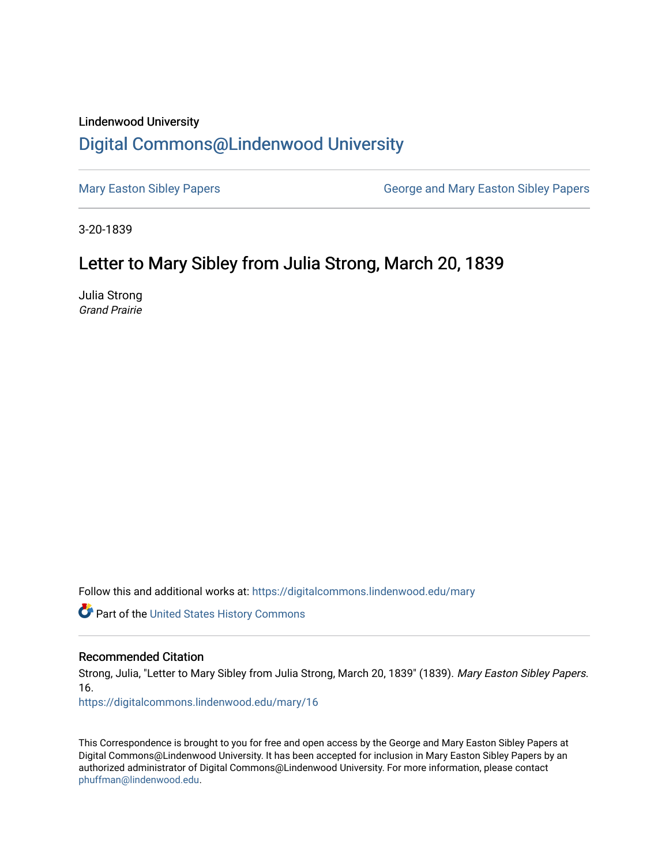## Lindenwood University

## [Digital Commons@Lindenwood University](https://digitalcommons.lindenwood.edu/)

[Mary Easton Sibley Papers](https://digitalcommons.lindenwood.edu/mary) **George and Mary Easton Sibley Papers** George and Mary Easton Sibley Papers

3-20-1839

## Letter to Mary Sibley from Julia Strong, March 20, 1839

Julia Strong Grand Prairie

Follow this and additional works at: [https://digitalcommons.lindenwood.edu/mary](https://digitalcommons.lindenwood.edu/mary?utm_source=digitalcommons.lindenwood.edu%2Fmary%2F16&utm_medium=PDF&utm_campaign=PDFCoverPages) 

Part of the [United States History Commons](http://network.bepress.com/hgg/discipline/495?utm_source=digitalcommons.lindenwood.edu%2Fmary%2F16&utm_medium=PDF&utm_campaign=PDFCoverPages) 

## Recommended Citation

Strong, Julia, "Letter to Mary Sibley from Julia Strong, March 20, 1839" (1839). Mary Easton Sibley Papers. 16.

[https://digitalcommons.lindenwood.edu/mary/16](https://digitalcommons.lindenwood.edu/mary/16?utm_source=digitalcommons.lindenwood.edu%2Fmary%2F16&utm_medium=PDF&utm_campaign=PDFCoverPages)

This Correspondence is brought to you for free and open access by the George and Mary Easton Sibley Papers at Digital Commons@Lindenwood University. It has been accepted for inclusion in Mary Easton Sibley Papers by an authorized administrator of Digital Commons@Lindenwood University. For more information, please contact [phuffman@lindenwood.edu](mailto:phuffman@lindenwood.edu).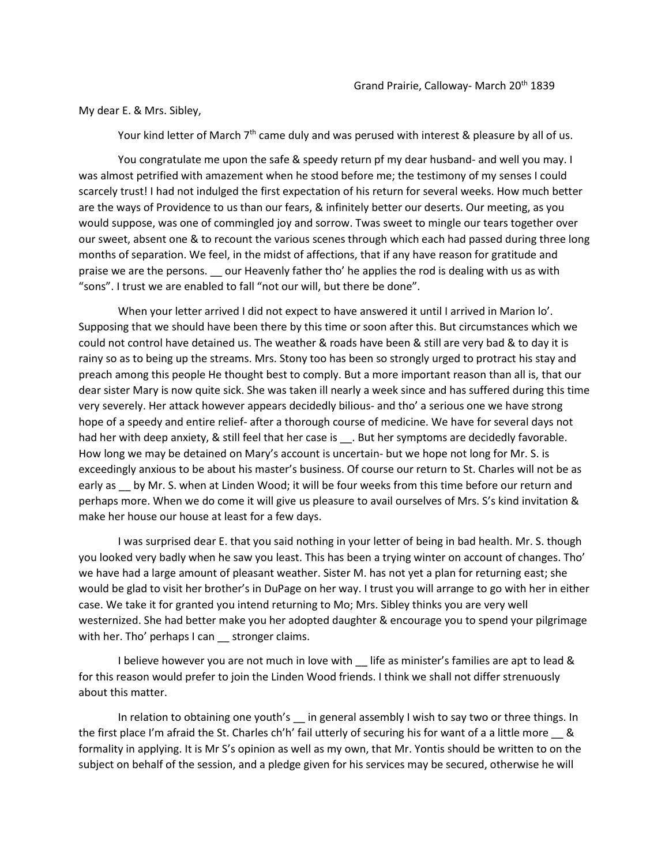My dear E. & Mrs. Sibley,

Your kind letter of March  $7<sup>th</sup>$  came duly and was perused with interest & pleasure by all of us.

You congratulate me upon the safe & speedy return pf my dear husband- and well you may. I was almost petrified with amazement when he stood before me; the testimony of my senses I could scarcely trust! I had not indulged the first expectation of his return for several weeks. How much better are the ways of Providence to us than our fears, & infinitely better our deserts. Our meeting, as you would suppose, was one of commingled joy and sorrow. Twas sweet to mingle our tears together over our sweet, absent one & to recount the various scenes through which each had passed during three long months of separation. We feel, in the midst of affections, that if any have reason for gratitude and praise we are the persons. \_\_ our Heavenly father tho' he applies the rod is dealing with us as with "sons". I trust we are enabled to fall "not our will, but there be done".

When your letter arrived I did not expect to have answered it until I arrived in Marion lo'. Supposing that we should have been there by this time or soon after this. But circumstances which we could not control have detained us. The weather & roads have been & still are very bad & to day it is rainy so as to being up the streams. Mrs. Stony too has been so strongly urged to protract his stay and preach among this people He thought best to comply. But a more important reason than all is, that our dear sister Mary is now quite sick. She was taken ill nearly a week since and has suffered during this time very severely. Her attack however appears decidedly bilious- and tho' a serious one we have strong hope of a speedy and entire relief- after a thorough course of medicine. We have for several days not had her with deep anxiety, & still feel that her case is \_\_\_. But her symptoms are decidedly favorable. How long we may be detained on Mary's account is uncertain- but we hope not long for Mr. S. is exceedingly anxious to be about his master's business. Of course our return to St. Charles will not be as early as 
by Mr. S. when at Linden Wood; it will be four weeks from this time before our return and perhaps more. When we do come it will give us pleasure to avail ourselves of Mrs. S's kind invitation & make her house our house at least for a few days.

I was surprised dear E. that you said nothing in your letter of being in bad health. Mr. S. though you looked very badly when he saw you least. This has been a trying winter on account of changes. Tho' we have had a large amount of pleasant weather. Sister M. has not yet a plan for returning east; she would be glad to visit her brother's in DuPage on her way. I trust you will arrange to go with her in either case. We take it for granted you intend returning to Mo; Mrs. Sibley thinks you are very well westernized. She had better make you her adopted daughter & encourage you to spend your pilgrimage with her. Tho' perhaps I can \_\_ stronger claims.

I believe however you are not much in love with \_\_ life as minister's families are apt to lead & for this reason would prefer to join the Linden Wood friends. I think we shall not differ strenuously about this matter.

In relation to obtaining one youth's in general assembly I wish to say two or three things. In the first place I'm afraid the St. Charles ch'h' fail utterly of securing his for want of a a little more \_\_ & formality in applying. It is Mr S's opinion as well as my own, that Mr. Yontis should be written to on the subject on behalf of the session, and a pledge given for his services may be secured, otherwise he will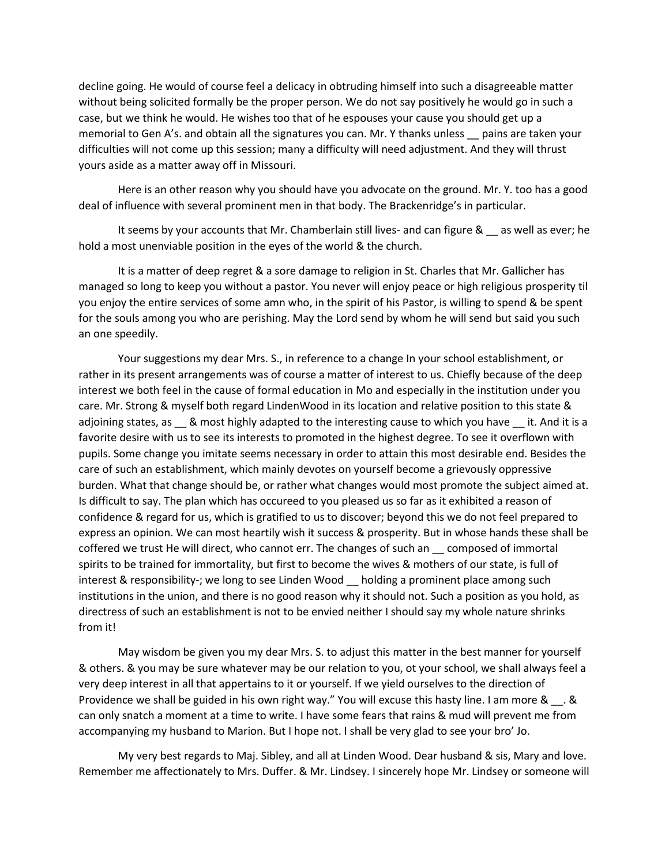decline going. He would of course feel a delicacy in obtruding himself into such a disagreeable matter without being solicited formally be the proper person. We do not say positively he would go in such a case, but we think he would. He wishes too that of he espouses your cause you should get up a memorial to Gen A's. and obtain all the signatures you can. Mr. Y thanks unless \_\_ pains are taken your difficulties will not come up this session; many a difficulty will need adjustment. And they will thrust yours aside as a matter away off in Missouri.

Here is an other reason why you should have you advocate on the ground. Mr. Y. too has a good deal of influence with several prominent men in that body. The Brackenridge's in particular.

It seems by your accounts that Mr. Chamberlain still lives- and can figure & \_\_ as well as ever; he hold a most unenviable position in the eyes of the world & the church.

It is a matter of deep regret & a sore damage to religion in St. Charles that Mr. Gallicher has managed so long to keep you without a pastor. You never will enjoy peace or high religious prosperity til you enjoy the entire services of some amn who, in the spirit of his Pastor, is willing to spend & be spent for the souls among you who are perishing. May the Lord send by whom he will send but said you such an one speedily.

Your suggestions my dear Mrs. S., in reference to a change In your school establishment, or rather in its present arrangements was of course a matter of interest to us. Chiefly because of the deep interest we both feel in the cause of formal education in Mo and especially in the institution under you care. Mr. Strong & myself both regard LindenWood in its location and relative position to this state & adjoining states, as a & most highly adapted to the interesting cause to which you have it. And it is a favorite desire with us to see its interests to promoted in the highest degree. To see it overflown with pupils. Some change you imitate seems necessary in order to attain this most desirable end. Besides the care of such an establishment, which mainly devotes on yourself become a grievously oppressive burden. What that change should be, or rather what changes would most promote the subject aimed at. Is difficult to say. The plan which has occureed to you pleased us so far as it exhibited a reason of confidence & regard for us, which is gratified to us to discover; beyond this we do not feel prepared to express an opinion. We can most heartily wish it success & prosperity. But in whose hands these shall be coffered we trust He will direct, who cannot err. The changes of such an \_\_ composed of immortal spirits to be trained for immortality, but first to become the wives & mothers of our state, is full of interest & responsibility-; we long to see Linden Wood \_\_ holding a prominent place among such institutions in the union, and there is no good reason why it should not. Such a position as you hold, as directress of such an establishment is not to be envied neither I should say my whole nature shrinks from it!

May wisdom be given you my dear Mrs. S. to adjust this matter in the best manner for yourself & others. & you may be sure whatever may be our relation to you, ot your school, we shall always feel a very deep interest in all that appertains to it or yourself. If we yield ourselves to the direction of Providence we shall be guided in his own right way." You will excuse this hasty line. I am more & \_\_. & can only snatch a moment at a time to write. I have some fears that rains & mud will prevent me from accompanying my husband to Marion. But I hope not. I shall be very glad to see your bro' Jo.

My very best regards to Maj. Sibley, and all at Linden Wood. Dear husband & sis, Mary and love. Remember me affectionately to Mrs. Duffer. & Mr. Lindsey. I sincerely hope Mr. Lindsey or someone will